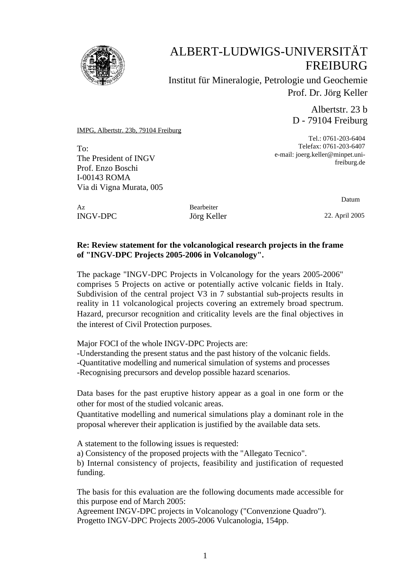

# ALBERT-LUDWIGS-UNIVERSITÄT FREIBURG

Institut für Mineralogie, Petrologie und Geochemie Prof. Dr. Jörg Keller

> Albertstr. 23 b D - 79104 Freiburg

IMPG, Albertstr. 23b, 79104 Freiburg

To: The President of INGV Prof. Enzo Boschi I-00143 ROMA Via di Vigna Murata, 005

Tel.: 0761-203-6404 Telefax: 0761-203-6407 e-mail: joerg.keller@minpet.unifreiburg.de

Az Bearbeiter INGV-DPC Jörg Keller 22. April 2005

Datum

### **Re: Review statement for the volcanological research projects in the frame of "INGV-DPC Projects 2005-2006 in Volcanology".**

The package "INGV-DPC Projects in Volcanology for the years 2005-2006" comprises 5 Projects on active or potentially active volcanic fields in Italy. Subdivision of the central project V3 in 7 substantial sub-projects results in reality in 11 volcanological projects covering an extremely broad spectrum. Hazard, precursor recognition and criticality levels are the final objectives in the interest of Civil Protection purposes.

Major FOCI of the whole INGV-DPC Projects are:

-Understanding the present status and the past history of the volcanic fields. -Quantitative modelling and numerical simulation of systems and processes -Recognising precursors and develop possible hazard scenarios.

Data bases for the past eruptive history appear as a goal in one form or the other for most of the studied volcanic areas.

Quantitative modelling and numerical simulations play a dominant role in the proposal wherever their application is justified by the available data sets.

A statement to the following issues is requested:

a) Consistency of the proposed projects with the "Allegato Tecnico".

b) Internal consistency of projects, feasibility and justification of requested funding.

The basis for this evaluation are the following documents made accessible for this purpose end of March 2005:

Agreement INGV-DPC projects in Volcanology ("Convenzione Quadro"). Progetto INGV-DPC Projects 2005-2006 Vulcanologia, 154pp.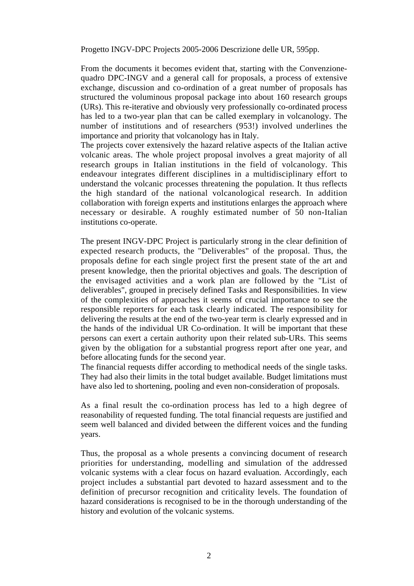Progetto INGV-DPC Projects 2005-2006 Descrizione delle UR, 595pp.

From the documents it becomes evident that, starting with the Convenzionequadro DPC-INGV and a general call for proposals, a process of extensive exchange, discussion and co-ordination of a great number of proposals has structured the voluminous proposal package into about 160 research groups (URs). This re-iterative and obviously very professionally co-ordinated process has led to a two-year plan that can be called exemplary in volcanology. The number of institutions and of researchers (953!) involved underlines the importance and priority that volcanology has in Italy.

The projects cover extensively the hazard relative aspects of the Italian active volcanic areas. The whole project proposal involves a great majority of all research groups in Italian institutions in the field of volcanology. This endeavour integrates different disciplines in a multidisciplinary effort to understand the volcanic processes threatening the population. It thus reflects the high standard of the national volcanological research. In addition collaboration with foreign experts and institutions enlarges the approach where necessary or desirable. A roughly estimated number of 50 non-Italian institutions co-operate.

The present INGV-DPC Project is particularly strong in the clear definition of expected research products, the "Deliverables" of the proposal. Thus, the proposals define for each single project first the present state of the art and present knowledge, then the priorital objectives and goals. The description of the envisaged activities and a work plan are followed by the "List of deliverables", grouped in precisely defined Tasks and Responsibilities. In view of the complexities of approaches it seems of crucial importance to see the responsible reporters for each task clearly indicated. The responsibility for delivering the results at the end of the two-year term is clearly expressed and in the hands of the individual UR Co-ordination. It will be important that these persons can exert a certain authority upon their related sub-URs. This seems given by the obligation for a substantial progress report after one year, and before allocating funds for the second year.

The financial requests differ according to methodical needs of the single tasks. They had also their limits in the total budget available. Budget limitations must have also led to shortening, pooling and even non-consideration of proposals.

As a final result the co-ordination process has led to a high degree of reasonability of requested funding. The total financial requests are justified and seem well balanced and divided between the different voices and the funding years.

Thus, the proposal as a whole presents a convincing document of research priorities for understanding, modelling and simulation of the addressed volcanic systems with a clear focus on hazard evaluation. Accordingly, each project includes a substantial part devoted to hazard assessment and to the definition of precursor recognition and criticality levels. The foundation of hazard considerations is recognised to be in the thorough understanding of the history and evolution of the volcanic systems.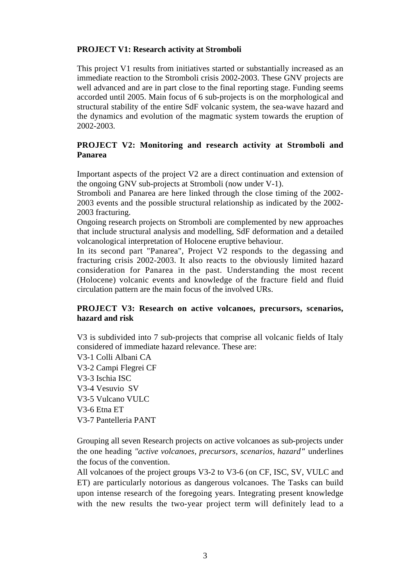## **PROJECT V1: Research activity at Stromboli**

This project V1 results from initiatives started or substantially increased as an immediate reaction to the Stromboli crisis 2002-2003. These GNV projects are well advanced and are in part close to the final reporting stage. Funding seems accorded until 2005. Main focus of 6 sub-projects is on the morphological and structural stability of the entire SdF volcanic system, the sea-wave hazard and the dynamics and evolution of the magmatic system towards the eruption of 2002-2003.

### **PROJECT V2: Monitoring and research activity at Stromboli and Panarea**

Important aspects of the project V2 are a direct continuation and extension of the ongoing GNV sub-projects at Stromboli (now under V-1).

Stromboli and Panarea are here linked through the close timing of the 2002- 2003 events and the possible structural relationship as indicated by the 2002- 2003 fracturing.

Ongoing research projects on Stromboli are complemented by new approaches that include structural analysis and modelling, SdF deformation and a detailed volcanological interpretation of Holocene eruptive behaviour.

In its second part "Panarea", Project V2 responds to the degassing and fracturing crisis 2002-2003. It also reacts to the obviously limited hazard consideration for Panarea in the past. Understanding the most recent (Holocene) volcanic events and knowledge of the fracture field and fluid circulation pattern are the main focus of the involved URs.

### **PROJECT V3: Research on active volcanoes, precursors, scenarios, hazard and risk**

V3 is subdivided into 7 sub-projects that comprise all volcanic fields of Italy considered of immediate hazard relevance. These are:

V3-1 Colli Albani CA V3-2 Campi Flegrei CF V3-3 Ischia ISC V3-4 Vesuvio SV V3-5 Vulcano VULC V3-6 Etna ET V3-7 Pantelleria PANT

Grouping all seven Research projects on active volcanoes as sub-projects under the one heading *"active volcanoes, precursors, scenarios, hazard"* underlines the focus of the convention.

All volcanoes of the project groups V3-2 to V3-6 (on CF, ISC, SV, VULC and ET) are particularly notorious as dangerous volcanoes. The Tasks can build upon intense research of the foregoing years. Integrating present knowledge with the new results the two-year project term will definitely lead to a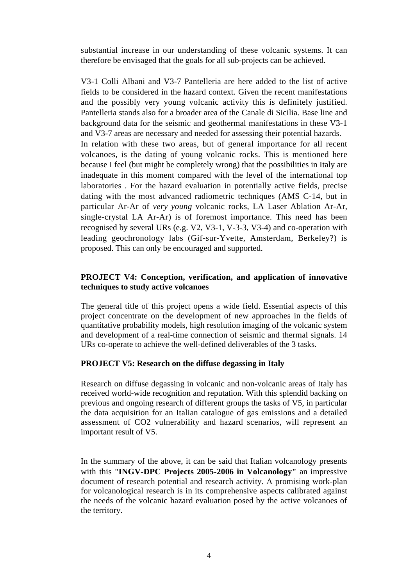substantial increase in our understanding of these volcanic systems. It can therefore be envisaged that the goals for all sub-projects can be achieved.

V3-1 Colli Albani and V3-7 Pantelleria are here added to the list of active fields to be considered in the hazard context. Given the recent manifestations and the possibly very young volcanic activity this is definitely justified. Pantelleria stands also for a broader area of the Canale di Sicilia. Base line and background data for the seismic and geothermal manifestations in these V3-1 and V3-7 areas are necessary and needed for assessing their potential hazards. In relation with these two areas, but of general importance for all recent volcanoes, is the dating of young volcanic rocks. This is mentioned here because I feel (but might be completely wrong) that the possibilities in Italy are inadequate in this moment compared with the level of the international top laboratories . For the hazard evaluation in potentially active fields, precise dating with the most advanced radiometric techniques (AMS C-14, but in particular Ar-Ar of *very young* volcanic rocks, LA Laser Ablation Ar-Ar, single-crystal LA Ar-Ar) is of foremost importance. This need has been recognised by several URs (e.g. V2, V3-1, V-3-3, V3-4) and co-operation with leading geochronology labs (Gif-sur-Yvette, Amsterdam, Berkeley?) is proposed. This can only be encouraged and supported.

#### **PROJECT V4: Conception, verification, and application of innovative techniques to study active volcanoes**

The general title of this project opens a wide field. Essential aspects of this project concentrate on the development of new approaches in the fields of quantitative probability models, high resolution imaging of the volcanic system and development of a real-time connection of seismic and thermal signals. 14 URs co-operate to achieve the well-defined deliverables of the 3 tasks.

#### **PROJECT V5: Research on the diffuse degassing in Italy**

Research on diffuse degassing in volcanic and non-volcanic areas of Italy has received world-wide recognition and reputation. With this splendid backing on previous and ongoing research of different groups the tasks of V5, in particular the data acquisition for an Italian catalogue of gas emissions and a detailed assessment of CO2 vulnerability and hazard scenarios, will represent an important result of V5.

In the summary of the above, it can be said that Italian volcanology presents with this "**INGV-DPC Projects 2005-2006 in Volcanology"** an impressive document of research potential and research activity. A promising work-plan for volcanological research is in its comprehensive aspects calibrated against the needs of the volcanic hazard evaluation posed by the active volcanoes of the territory.